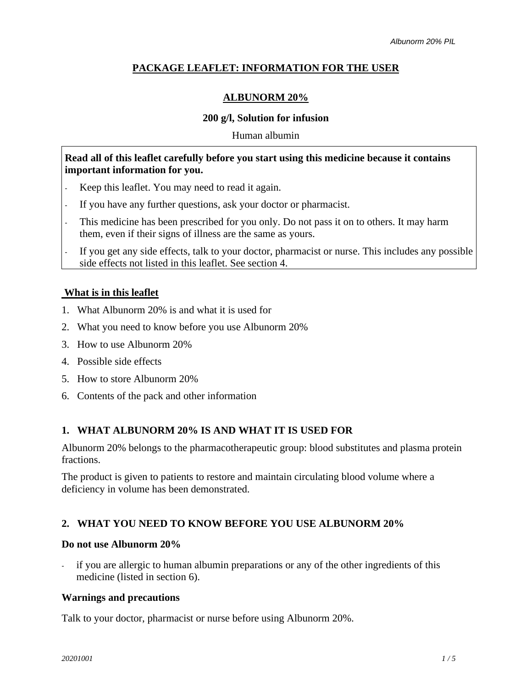## **PACKAGE LEAFLET: INFORMATION FOR THE USER**

## **ALBUNORM 20%**

## **200 g/l, Solution for infusion**

Human albumin

## **Read all of this leaflet carefully before you start using this medicine because it contains important information for you.**

- Keep this leaflet. You may need to read it again.
- If you have any further questions, ask your doctor or pharmacist.
- This medicine has been prescribed for you only. Do not pass it on to others. It may harm them, even if their signs of illness are the same as yours.
- If you get any side effects, talk to your doctor, pharmacist or nurse. This includes any possible side effects not listed in this leaflet. See section 4.

## **What is in this leaflet**

- 1. What Albunorm 20% is and what it is used for
- 2. What you need to know before you use Albunorm 20%
- 3. How to use Albunorm 20%
- 4. Possible side effects
- 5. How to store Albunorm 20%
- 6. Contents of the pack and other information

## **1. WHAT ALBUNORM 20% IS AND WHAT IT IS USED FOR**

Albunorm 20% belongs to the pharmacotherapeutic group: blood substitutes and plasma protein fractions.

The product is given to patients to restore and maintain circulating blood volume where a deficiency in volume has been demonstrated.

# **2. WHAT YOU NEED TO KNOW BEFORE YOU USE ALBUNORM 20%**

## **Do not use Albunorm 20%**

if you are allergic to human albumin preparations or any of the other ingredients of this medicine (listed in section 6).

## **Warnings and precautions**

Talk to your doctor, pharmacist or nurse before using Albunorm 20%.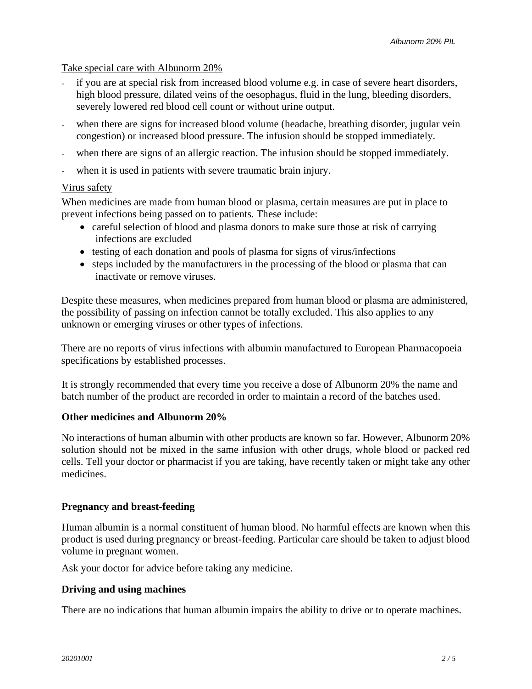## Take special care with Albunorm 20%

- if you are at special risk from increased blood volume e.g. in case of severe heart disorders, high blood pressure, dilated veins of the oesophagus, fluid in the lung, bleeding disorders, severely lowered red blood cell count or without urine output.
- when there are signs for increased blood volume (headache, breathing disorder, jugular vein congestion) or increased blood pressure. The infusion should be stopped immediately.
- when there are signs of an allergic reaction. The infusion should be stopped immediately.
- when it is used in patients with severe traumatic brain injury.

#### Virus safety

When medicines are made from human blood or plasma, certain measures are put in place to prevent infections being passed on to patients. These include:

- careful selection of blood and plasma donors to make sure those at risk of carrying infections are excluded
- testing of each donation and pools of plasma for signs of virus/infections
- steps included by the manufacturers in the processing of the blood or plasma that can inactivate or remove viruses.

Despite these measures, when medicines prepared from human blood or plasma are administered, the possibility of passing on infection cannot be totally excluded. This also applies to any unknown or emerging viruses or other types of infections.

There are no reports of virus infections with albumin manufactured to European Pharmacopoeia specifications by established processes.

It is strongly recommended that every time you receive a dose of Albunorm 20% the name and batch number of the product are recorded in order to maintain a record of the batches used.

## **Other medicines and Albunorm 20%**

No interactions of human albumin with other products are known so far. However, Albunorm 20% solution should not be mixed in the same infusion with other drugs, whole blood or packed red cells. Tell your doctor or pharmacist if you are taking, have recently taken or might take any other medicines.

## **Pregnancy and breast-feeding**

Human albumin is a normal constituent of human blood. No harmful effects are known when this product is used during pregnancy or breast-feeding. Particular care should be taken to adjust blood volume in pregnant women.

Ask your doctor for advice before taking any medicine.

#### **Driving and using machines**

There are no indications that human albumin impairs the ability to drive or to operate machines.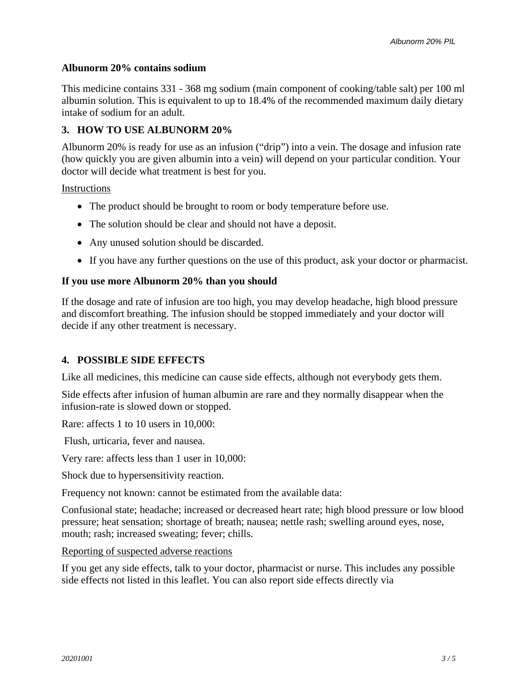### **Albunorm 20% contains sodium**

This medicine contains 331 - 368 mg sodium (main component of cooking/table salt) per 100 ml albumin solution. This is equivalent to up to 18.4% of the recommended maximum daily dietary intake of sodium for an adult.

## **3. HOW TO USE ALBUNORM 20%**

Albunorm 20% is ready for use as an infusion ("drip") into a vein. The dosage and infusion rate (how quickly you are given albumin into a vein) will depend on your particular condition. Your doctor will decide what treatment is best for you.

Instructions

- The product should be brought to room or body temperature before use.
- The solution should be clear and should not have a deposit.
- Any unused solution should be discarded.
- If you have any further questions on the use of this product, ask your doctor or pharmacist.

## **If you use more Albunorm 20% than you should**

If the dosage and rate of infusion are too high, you may develop headache, high blood pressure and discomfort breathing. The infusion should be stopped immediately and your doctor will decide if any other treatment is necessary.

## **4. POSSIBLE SIDE EFFECTS**

Like all medicines, this medicine can cause side effects, although not everybody gets them.

Side effects after infusion of human albumin are rare and they normally disappear when the infusion-rate is slowed down or stopped.

Rare: affects 1 to 10 users in 10,000:

Flush, urticaria, fever and nausea.

Very rare: affects less than 1 user in 10,000:

Shock due to hypersensitivity reaction.

Frequency not known: cannot be estimated from the available data:

Confusional state; headache; increased or decreased heart rate; high blood pressure or low blood pressure; heat sensation; [shortage](http://dict.leo.org/se?lp=ende&p=/Mn4k.&search=shortage) [of](http://dict.leo.org/se?lp=ende&p=/Mn4k.&search=of) [breath;](http://dict.leo.org/se?lp=ende&p=/Mn4k.&search=breath) nausea; nettle rash; swelling around eyes, nose, mouth; rash; increased sweating; fever; chills.

Reporting of suspected adverse reactions

If you get any side effects, talk to your doctor, pharmacist or nurse. This includes any possible side effects not listed in this leaflet. You can also report side effects directly via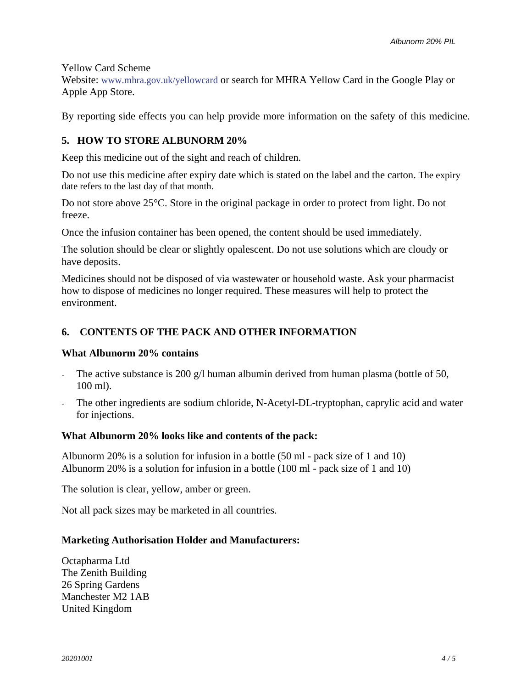Yellow Card Scheme

Website: [www.mhra.gov.uk/yellowcard](http://www.mhra.gov.uk/yellowcard) or search for MHRA Yellow Card in the Google Play or Apple App Store.

By reporting side effects you can help provide more information on the safety of this medicine.

## **5. HOW TO STORE ALBUNORM 20%**

Keep this medicine out of the sight and reach of children.

Do not use this medicine after expiry date which is stated on the label and the carton. The expiry date refers to the last day of that month.

Do not store above 25°C. Store in the original package in order to protect from light. Do not freeze.

Once the infusion container has been opened, the content should be used immediately.

The solution should be clear or slightly opalescent. Do not use solutions which are cloudy or have deposits.

Medicines should not be disposed of via wastewater or household waste. Ask your pharmacist how to dispose of medicines no longer required. These measures will help to protect the environment.

## **6. CONTENTS OF THE PACK AND OTHER INFORMATION**

#### **What Albunorm 20% contains**

- The active substance is 200 g/l human albumin derived from human plasma (bottle of 50, 100 ml).
- The other ingredients are sodium chloride, N-Acetyl-DL-tryptophan, caprylic acid and water for injections.

#### **What Albunorm 20% looks like and contents of the pack:**

Albunorm 20% is a solution for infusion in a bottle (50 ml - pack size of 1 and 10) Albunorm 20% is a solution for infusion in a bottle (100 ml - pack size of 1 and 10)

The solution is clear, yellow, amber or green.

Not all pack sizes may be marketed in all countries.

#### **Marketing Authorisation Holder and Manufacturers:**

Octapharma Ltd The Zenith Building 26 Spring Gardens Manchester M2 1AB United Kingdom